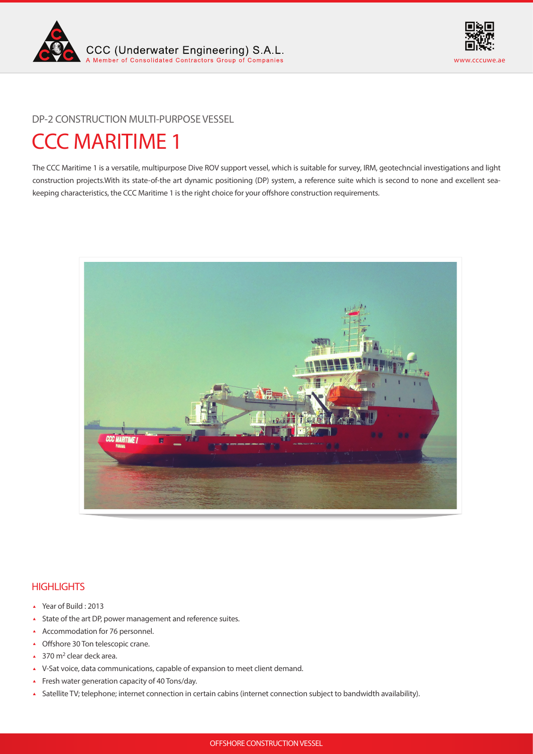



DP-2 CONSTRUCTION MULTI-PURPOSE VESSEL

# CCC MARITIME 1

The CCC Maritime 1 is a versatile, multipurpose Dive ROV support vessel, which is suitable for survey, IRM, geotechncial investigations and light construction projects.With its state-of-the art dynamic positioning (DP) system, a reference suite which is second to none and excellent seakeeping characteristics, the CCC Maritime 1 is the right choice for your offshore construction requirements.



# **HIGHLIGHTS**

- Year of Build : 2013
- State of the art DP, power management and reference suites.
- Accommodation for 76 personnel.
- ▲ Offshore 30 Ton telescopic crane.
- $\triangle$  370 m<sup>2</sup> clear deck area.
- V-Sat voice, data communications, capable of expansion to meet client demand.
- Fresh water generation capacity of 40 Tons/day.
- Satellite TV; telephone; internet connection in certain cabins (internet connection subject to bandwidth availability).